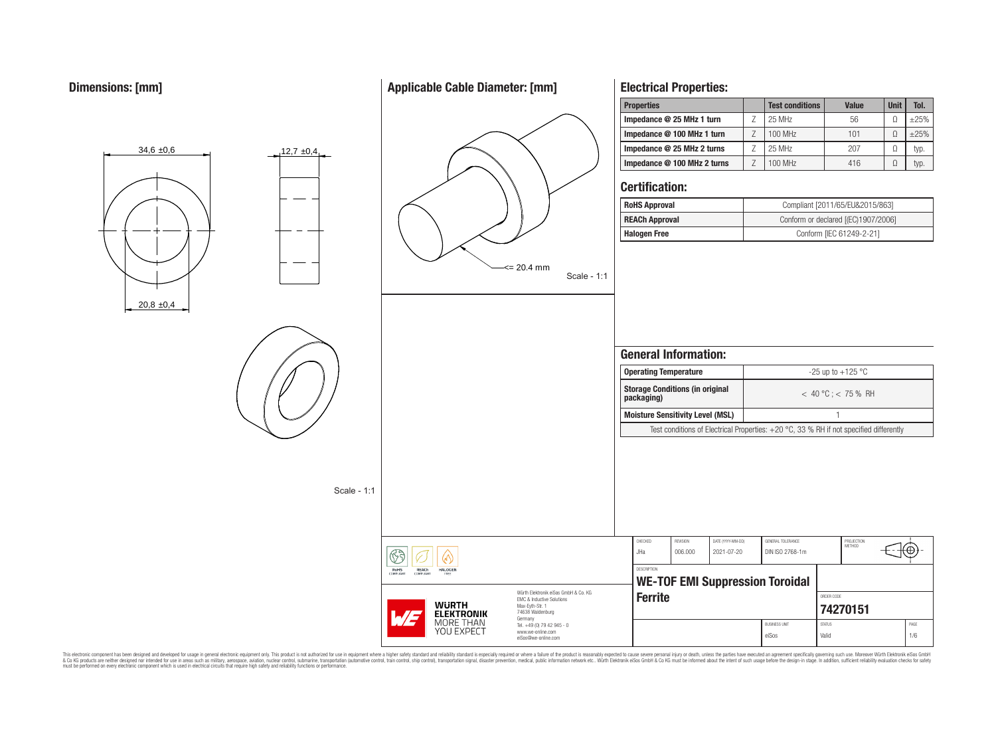$20.8 \pm 0.4$ 

 $34,6 \pm 0.6$  12,7  $\pm 0.4$ 

# **Applicable Cable Diameter: [mm]**



# **Electrical Properties:**

| <b>Properties</b>           | <b>Test conditions</b> | <b>Value</b> | <b>Unit</b> | Tol.   |
|-----------------------------|------------------------|--------------|-------------|--------|
| Impedance @ 25 MHz 1 turn   | 25 MHz                 | 56           |             | $+25%$ |
| Impedance @ 100 MHz 1 turn  | 100 MHz                | 101          |             | $+25%$ |
| Impedance @ 25 MHz 2 turns  | 25 MHz                 | 207          | 0           | typ.   |
| Impedance @ 100 MHz 2 turns | 100 MHz                | 416          | Ω           | typ.   |

## **Certification:**

| <b>RoHS Approval</b>  | Compliant [2011/65/EU&2015/863]     |
|-----------------------|-------------------------------------|
| <b>REACh Approval</b> | Conform or declared [(EC)1907/2006] |
| <b>Halogen Free</b>   | Conform [IEC 61249-2-21]            |

|                                                                                                                     |                                      | <b>Operating Temperature</b>            |                                 |                                                                                          |               | -25 up to $+125$ °C  |      |  |
|---------------------------------------------------------------------------------------------------------------------|--------------------------------------|-----------------------------------------|---------------------------------|------------------------------------------------------------------------------------------|---------------|----------------------|------|--|
|                                                                                                                     | packaging)                           | <b>Storage Conditions (in original</b>  |                                 | $< 40 °C$ : $< 75 %$ RH                                                                  |               |                      |      |  |
|                                                                                                                     |                                      | <b>Moisture Sensitivity Level (MSL)</b> |                                 |                                                                                          |               |                      |      |  |
|                                                                                                                     |                                      |                                         |                                 | Test conditions of Electrical Properties: $+20$ °C, 33 % RH if not specified differently |               |                      |      |  |
|                                                                                                                     |                                      |                                         |                                 |                                                                                          |               |                      |      |  |
|                                                                                                                     | CHECKED<br>JHa<br><b>DESCRIPTION</b> | <b>REVISION</b><br>006.000              | DATE (YYYY-MM-DD)<br>2021-07-20 | GENERAL TOLERANCE<br>DIN ISO 2768-1m                                                     |               | PROJECTION<br>METHOD |      |  |
|                                                                                                                     |                                      |                                         |                                 |                                                                                          |               |                      |      |  |
| Würth Flektronik eiSos GmbH & Co. KG<br><b>EMC &amp; Inductive Solutions</b><br>Max-Eyth-Str. 1<br>74638 Waldenburg | <b>Ferrite</b>                       |                                         |                                 | <b>WE-TOF EMI Suppression Toroidal</b>                                                   | ORDER CODE    | 74270151             |      |  |
| Tel. +49 (0) 79 42 945 - 0<br>www.we-online.com                                                                     |                                      |                                         |                                 | <b>BUSINESS UNIT</b>                                                                     | <b>STATUS</b> |                      | PAGE |  |

This electronic component has been designed and developed for usage in general electronic equipment only. This product is not authorized for subserved requipment where a higher selection equipment where a higher selection

**WURTH<br>ELEKTRONIK**<br>MORE THAN<br>YOU EXPECT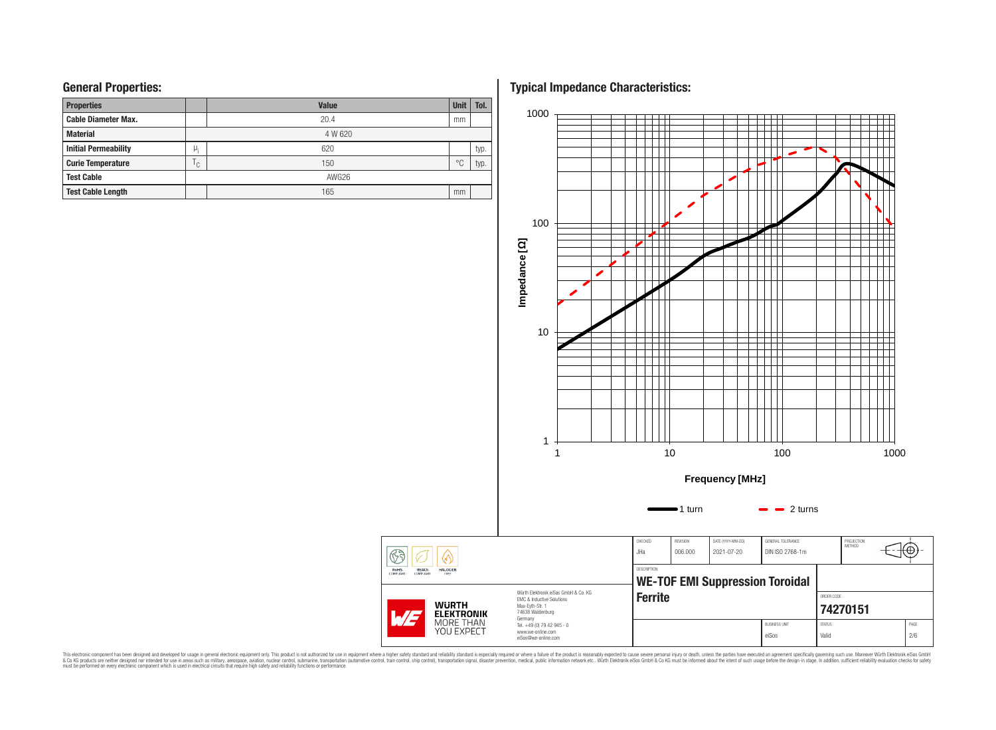## **General Properties:**

| <b>Properties</b>           |              | <b>Value</b> | <b>Unit</b>    | Tol. |
|-----------------------------|--------------|--------------|----------------|------|
| <b>Cable Diameter Max.</b>  |              | 20.4         | mm             |      |
| <b>Material</b>             |              | 4 W 620      |                |      |
| <b>Initial Permeability</b> | μ,           | 620          |                | typ. |
| <b>Curie Temperature</b>    | $\mathsf{C}$ | 150          | $\circ$ $\cap$ | typ. |
| <b>Test Cable</b>           |              | AWG26        |                |      |
| <b>Test Cable Length</b>    |              | 165          | mm             |      |

**Typical Impedance Characteristics:**



This electronic component has been designed and developed for usage in general electronic equipment only. This product is not authorized for subserved requipment where a higher selection equipment where a higher selection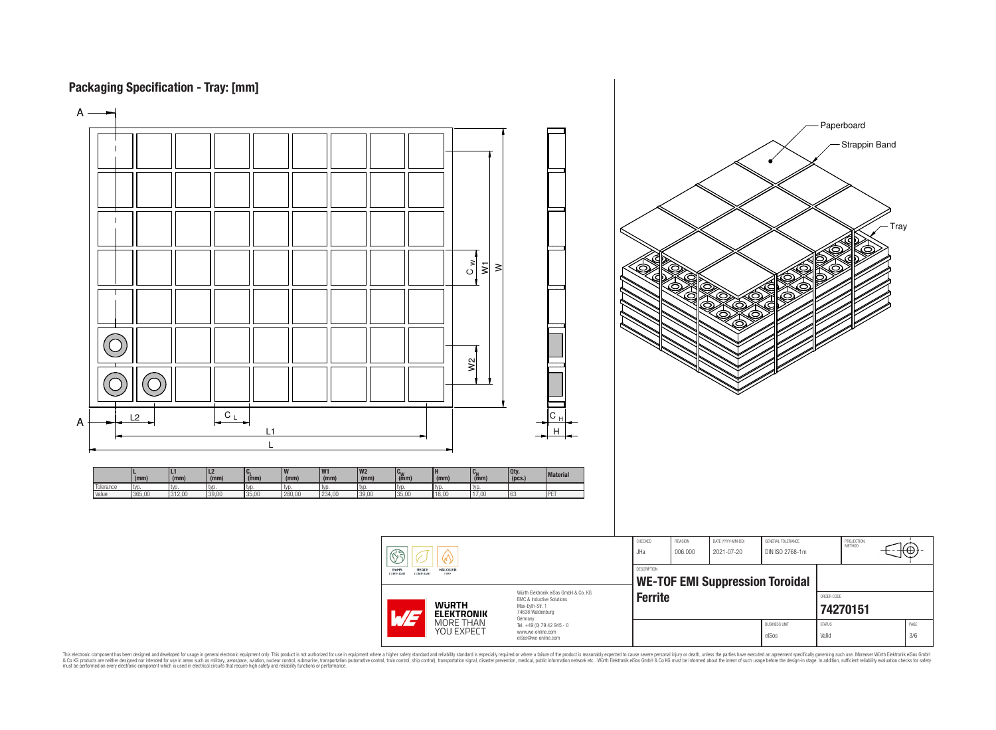## **Packaging Specification - Tray: [mm]**



This electronic component has been designed and developed for usage in general electronic equipment only. This product is not authorized for subserved requipment where a higher selection equipment where a higher selection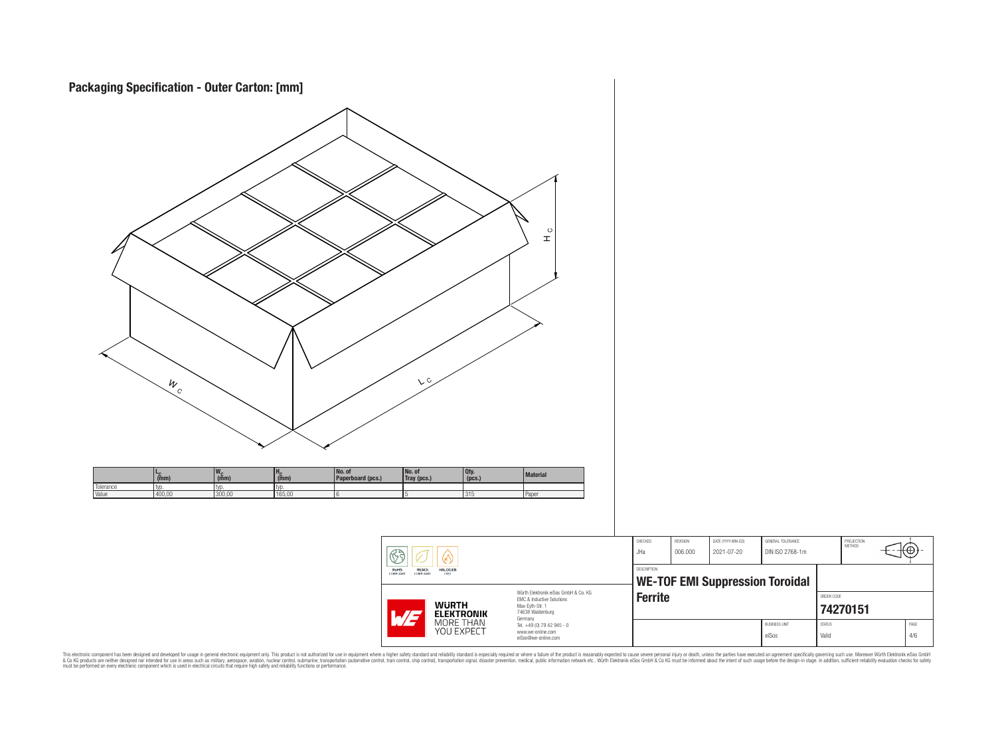

This electronic component has been designed and developed for usage in general electronic equipment only. This product is not authorized for subserved requipment where a higher selection equipment where a higher selection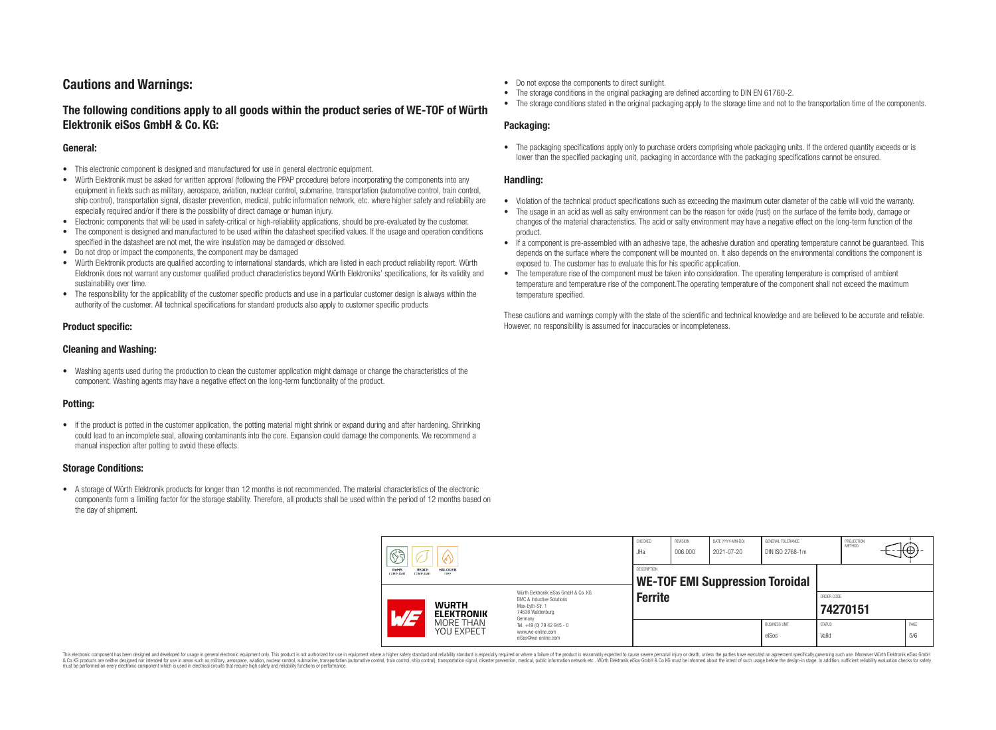## **Cautions and Warnings:**

## **The following conditions apply to all goods within the product series of WE-TOF of Würth Elektronik eiSos GmbH & Co. KG:**

#### **General:**

- This electronic component is designed and manufactured for use in general electronic equipment.
- Würth Elektronik must be asked for written approval (following the PPAP procedure) before incorporating the components into any equipment in fields such as military, aerospace, aviation, nuclear control, submarine, transportation (automotive control, train control, ship control), transportation signal, disaster prevention, medical, public information network, etc. where higher safety and reliability are especially required and/or if there is the possibility of direct damage or human injury.
- Electronic components that will be used in safety-critical or high-reliability applications, should be pre-evaluated by the customer.
- The component is designed and manufactured to be used within the datasheet specified values. If the usage and operation conditions specified in the datasheet are not met, the wire insulation may be damaged or dissolved.
- Do not drop or impact the components, the component may be damaged
- Würth Elektronik products are qualified according to international standards, which are listed in each product reliability report. Würth Elektronik does not warrant any customer qualified product characteristics beyond Würth Elektroniks' specifications, for its validity and sustainability over time.
- The responsibility for the applicability of the customer specific products and use in a particular customer design is always within the authority of the customer. All technical specifications for standard products also apply to customer specific products

### **Product specific:**

#### **Cleaning and Washing:**

• Washing agents used during the production to clean the customer application might damage or change the characteristics of the component. Washing agents may have a negative effect on the long-term functionality of the product.

## **Potting:**

• If the product is potted in the customer application, the potting material might shrink or expand during and after hardening. Shrinking could lead to an incomplete seal, allowing contaminants into the core. Expansion could damage the components. We recommend a manual inspection after potting to avoid these effects.

#### **Storage Conditions:**

• A storage of Würth Elektronik products for longer than 12 months is not recommended. The material characteristics of the electronic components form a limiting factor for the storage stability. Therefore, all products shall be used within the period of 12 months based on the day of shipment.

- Do not expose the components to direct sunlight.
- The storage conditions in the original packaging are defined according to DIN EN 61760-2.
- The storage conditions stated in the original packaging apply to the storage time and not to the transportation time of the components.

### **Packaging:**

• The packaging specifications apply only to purchase orders comprising whole packaging units. If the ordered quantity exceeds or is lower than the specified packaging unit, packaging in accordance with the packaging specifications cannot be ensured.

### **Handling:**

- Violation of the technical product specifications such as exceeding the maximum outer diameter of the cable will void the warranty.
- The usage in an acid as well as salty environment can be the reason for oxide (rust) on the surface of the ferrite body, damage or changes of the material characteristics. The acid or salty environment may have a negative effect on the long-term function of the product.
- If a component is pre-assembled with an adhesive tape, the adhesive duration and operating temperature cannot be guaranteed. This depends on the surface where the component will be mounted on. It also depends on the environmental conditions the component is exposed to. The customer has to evaluate this for his specific application.
- The temperature rise of the component must be taken into consideration. The operating temperature is comprised of ambient temperature and temperature rise of the component.The operating temperature of the component shall not exceed the maximum temperature specified.

These cautions and warnings comply with the state of the scientific and technical knowledge and are believed to be accurate and reliable. However, no responsibility is assumed for inaccuracies or incompleteness.

|  | H<br>Ω<br><b>REACh</b><br><b>RoHS</b><br><b>HALOGEN</b><br>COMPLIANT<br>FREE<br><b>COMPLIANT</b>                                                                 |                         | CHECKED<br>JHa                                                                    | REVISION<br>006.000 | DATE (YYYY-MM-DD)<br>2021-07-20 | GENERAL TOLERANCE<br>DIN ISO 2768-1m |                               | PROJECTION<br><b>METHOD</b> | ⊬⊕∶ |             |
|--|------------------------------------------------------------------------------------------------------------------------------------------------------------------|-------------------------|-----------------------------------------------------------------------------------|---------------------|---------------------------------|--------------------------------------|-------------------------------|-----------------------------|-----|-------------|
|  |                                                                                                                                                                  |                         | <b>DESCRIPTION</b><br><b>WE-TOF EMI Suppression Toroidal</b>                      |                     |                                 |                                      |                               |                             |     |             |
|  | Würth Flektronik eiSos GmbH & Co. KG<br><b>EMC &amp; Inductive Solutions</b><br><b>WURTH</b><br>Max-Evth-Str. 1<br>74638 Waldenburg<br><b>ELEKTRONIK</b><br>HJ J |                         | <b>Ferrite</b>                                                                    |                     |                                 |                                      | ORDER CODE                    | 74270151                    |     |             |
|  |                                                                                                                                                                  | MORE THAN<br>YOU EXPECT | Germany<br>Tel. +49 (0) 79 42 945 - 0<br>www.we-online.com<br>eiSos@we-online.com |                     |                                 |                                      | <b>BUSINESS UNIT</b><br>eiSos | <b>STATUS</b><br>Valid      |     | PAGE<br>5/6 |

This electronic component has been designed and developed for usage in general electronic equipment only. This product is not authorized for use in equipment where a higher safety standard and reliability standard si espec & Ook product a label and the membed of the seasuch as marked and as which such a membed and the such assume that income in the seasuch and the simulation and the such assume that include to the such a membed and the such